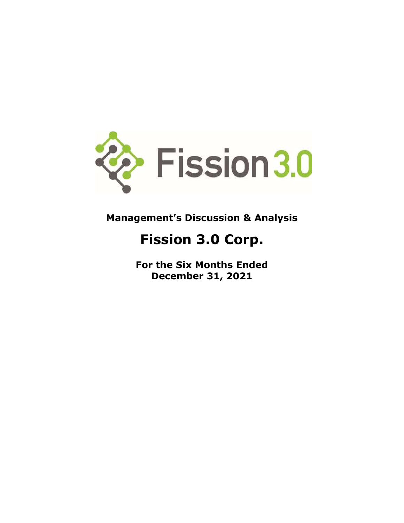

# **Management's Discussion & Analysis**

# **Fission 3.0 Corp.**

**For the Six Months Ended December 31, 2021**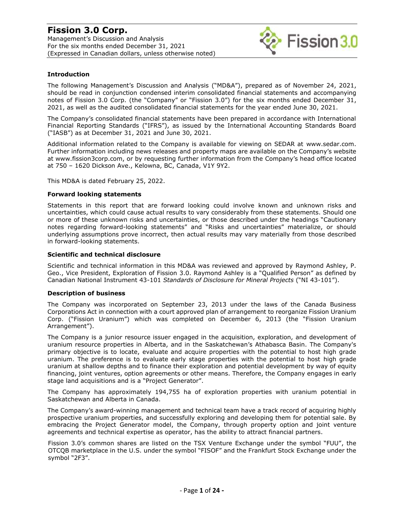

#### **Introduction**

The following Management's Discussion and Analysis ("MD&A"), prepared as of November 24, 2021, should be read in conjunction condensed interim consolidated financial statements and accompanying notes of Fission 3.0 Corp. (the "Company" or "Fission 3.0") for the six months ended December 31, 2021, as well as the audited consolidated financial statements for the year ended June 30, 2021.

The Company's consolidated financial statements have been prepared in accordance with International Financial Reporting Standards ("IFRS"), as issued by the International Accounting Standards Board ("IASB") as at December 31, 2021 and June 30, 2021.

Additional information related to the Company is available for viewing on SEDAR at www.sedar.com. Further information including news releases and property maps are available on the Company's website at www.fission3corp.com, or by requesting further information from the Company's head office located at 750 – 1620 Dickson Ave., Kelowna, BC, Canada, V1Y 9Y2.

This MD&A is dated February 25, 2022.

#### **Forward looking statements**

Statements in this report that are forward looking could involve known and unknown risks and uncertainties, which could cause actual results to vary considerably from these statements. Should one or more of these unknown risks and uncertainties, or those described under the headings "Cautionary notes regarding forward-looking statements" and "Risks and uncertainties" materialize, or should underlying assumptions prove incorrect, then actual results may vary materially from those described in forward-looking statements.

#### **Scientific and technical disclosure**

Scientific and technical information in this MD&A was reviewed and approved by Raymond Ashley, P. Geo., Vice President, Exploration of Fission 3.0. Raymond Ashley is a "Qualified Person" as defined by Canadian National Instrument 43-101 *Standards of Disclosure for Mineral Projects* ("NI 43-101").

#### **Description of business**

The Company was incorporated on September 23, 2013 under the laws of the Canada Business Corporations Act in connection with a court approved plan of arrangement to reorganize Fission Uranium Corp. ("Fission Uranium") which was completed on December 6, 2013 (the "Fission Uranium Arrangement").

The Company is a junior resource issuer engaged in the acquisition, exploration, and development of uranium resource properties in Alberta, and in the Saskatchewan's Athabasca Basin. The Company's primary objective is to locate, evaluate and acquire properties with the potential to host high grade uranium. The preference is to evaluate early stage properties with the potential to host high grade uranium at shallow depths and to finance their exploration and potential development by way of equity financing, joint ventures, option agreements or other means. Therefore, the Company engages in early stage land acquisitions and is a "Project Generator".

The Company has approximately 194,755 ha of exploration properties with uranium potential in Saskatchewan and Alberta in Canada.

The Company's award-winning management and technical team have a track record of acquiring highly prospective uranium properties, and successfully exploring and developing them for potential sale. By embracing the Project Generator model, the Company, through property option and joint venture agreements and technical expertise as operator, has the ability to attract financial partners.

Fission 3.0's common shares are listed on the TSX Venture Exchange under the symbol "FUU", the OTCQB marketplace in the U.S. under the symbol "FISOF" and the Frankfurt Stock Exchange under the symbol "2F3".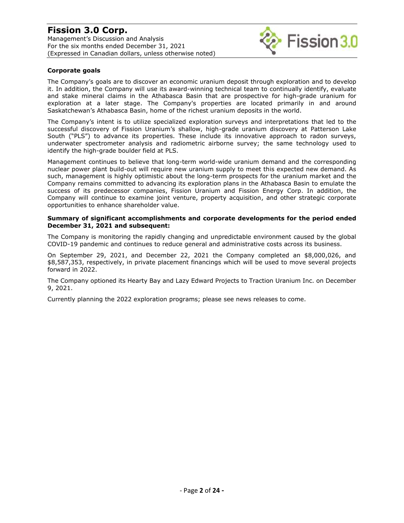

# **Corporate goals**

The Company's goals are to discover an economic uranium deposit through exploration and to develop it. In addition, the Company will use its award-winning technical team to continually identify, evaluate and stake mineral claims in the Athabasca Basin that are prospective for high-grade uranium for exploration at a later stage. The Company's properties are located primarily in and around Saskatchewan's Athabasca Basin, home of the richest uranium deposits in the world.

The Company's intent is to utilize specialized exploration surveys and interpretations that led to the successful discovery of Fission Uranium's shallow, high-grade uranium discovery at Patterson Lake South ("PLS") to advance its properties. These include its innovative approach to radon surveys, underwater spectrometer analysis and radiometric airborne survey; the same technology used to identify the high-grade boulder field at PLS.

Management continues to believe that long-term world-wide uranium demand and the corresponding nuclear power plant build-out will require new uranium supply to meet this expected new demand. As such, management is highly optimistic about the long-term prospects for the uranium market and the Company remains committed to advancing its exploration plans in the Athabasca Basin to emulate the success of its predecessor companies, Fission Uranium and Fission Energy Corp. In addition, the Company will continue to examine joint venture, property acquisition, and other strategic corporate opportunities to enhance shareholder value.

#### **Summary of significant accomplishments and corporate developments for the period ended December 31, 2021 and subsequent:**

The Company is monitoring the rapidly changing and unpredictable environment caused by the global COVID-19 pandemic and continues to reduce general and administrative costs across its business.

On September 29, 2021, and December 22, 2021 the Company completed an \$8,000,026, and \$8,587,353, respectively, in private placement financings which will be used to move several projects forward in 2022.

The Company optioned its Hearty Bay and Lazy Edward Projects to Traction Uranium Inc. on December 9, 2021.

Currently planning the 2022 exploration programs; please see news releases to come.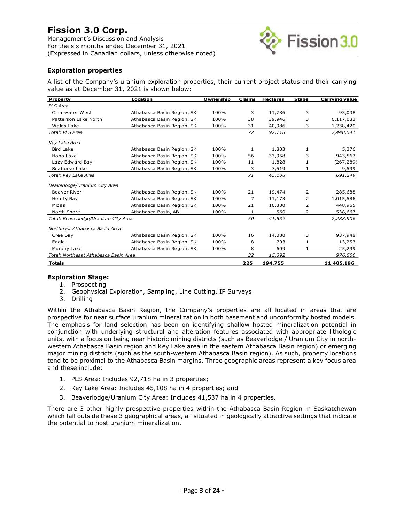# **Fission 3.0 Corp.**

Management's Discussion and Analysis For the six months ended December 31, 2021 (Expressed in Canadian dollars, unless otherwise noted)



# **Exploration properties**

A list of the Company's uranium exploration properties, their current project status and their carrying value as at December 31, 2021 is shown below:

| Property                              | Location                   | Ownership | <b>Claims</b> | <b>Hectares</b> | <b>Stage</b> | <b>Carrying value</b> |
|---------------------------------------|----------------------------|-----------|---------------|-----------------|--------------|-----------------------|
| PLS Area                              |                            |           |               |                 |              |                       |
| Clearwater West                       | Athabasca Basin Region, SK | 100%      | 3             | 11,786          | 3            | 93,038                |
| Patterson Lake North                  | Athabasca Basin Region, SK | 100%      | 38            | 39,946          | 3            | 6,117,083             |
| Wales Lake                            | Athabasca Basin Region, SK | 100%      | 31            | 40,986          | 3            | 1,238,420             |
| Total: PLS Area                       |                            |           | 72            | 92,718          |              | 7,448,541             |
| Key Lake Area                         |                            |           |               |                 |              |                       |
| <b>Bird Lake</b>                      | Athabasca Basin Region, SK | 100%      | 1             | 1,803           | 1            | 5,376                 |
| Hobo Lake                             | Athabasca Basin Region, SK | 100%      | 56            | 33,958          | 3            | 943,563               |
| Lazy Edward Bay                       | Athabasca Basin Region, SK | 100%      | 11            | 1,828           |              | (267, 289)            |
| Seahorse Lake                         | Athabasca Basin Region, SK | 100%      | 3             | 7,519           | 1            | 9,599                 |
| Total: Key Lake Area                  |                            |           | 71            | 45,108          |              | 691,249               |
| Beaverlodge/Uranium City Area         |                            |           |               |                 |              |                       |
| Beaver River                          | Athabasca Basin Region, SK | 100%      | 21            | 19,474          | 2            | 285,688               |
| <b>Hearty Bay</b>                     | Athabasca Basin Region, SK | 100%      | 7             | 11,173          | 2            | 1,015,586             |
| Midas                                 | Athabasca Basin Region, SK | 100%      | 21            | 10,330          | 2            | 448,965               |
| North Shore                           | Athabasca Basin, AB        | 100%      | 1             | 560             | 2            | 538,667               |
| Total: Beaverlodge/Uranium City Area  |                            |           | 50            | 41,537          |              | 2,288,906             |
| Northeast Athabasca Basin Area        |                            |           |               |                 |              |                       |
| Cree Bay                              | Athabasca Basin Region, SK | 100%      | 16            | 14,080          | 3            | 937,948               |
| Eagle                                 | Athabasca Basin Region, SK | 100%      | 8             | 703             | 1            | 13,253                |
| Murphy Lake                           | Athabasca Basin Region, SK | 100%      | 8             | 609             |              | 25,299                |
| Total: Northeast Athabasca Basin Area |                            |           | 32            | 15,392          |              | 976,500               |
| <b>Totals</b>                         |                            |           | 225           | 194,755         |              | 11,405,196            |

#### **Exploration Stage:**

- 1. Prospecting
- 2. Geophysical Exploration, Sampling, Line Cutting, IP Surveys
- 3. Drilling

Within the Athabasca Basin Region, the Company's properties are all located in areas that are prospective for near surface uranium mineralization in both basement and unconformity hosted models. The emphasis for land selection has been on identifying shallow hosted mineralization potential in conjunction with underlying structural and alteration features associated with appropriate lithologic units, with a focus on being near historic mining districts (such as Beaverlodge / Uranium City in northwestern Athabasca Basin region and Key Lake area in the eastern Athabasca Basin region) or emerging major mining districts (such as the south-western Athabasca Basin region). As such, property locations tend to be proximal to the Athabasca Basin margins. Three geographic areas represent a key focus area and these include:

- 1. PLS Area: Includes 92,718 ha in 3 properties;
- 2. Key Lake Area: Includes 45,108 ha in 4 properties; and
- 3. Beaverlodge/Uranium City Area: Includes 41,537 ha in 4 properties.

There are 3 other highly prospective properties within the Athabasca Basin Region in Saskatchewan which fall outside these 3 geographical areas, all situated in geologically attractive settings that indicate the potential to host uranium mineralization.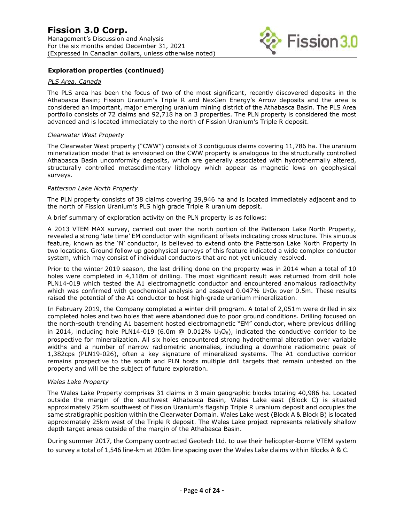

#### *PLS Area, Canada*

The PLS area has been the focus of two of the most significant, recently discovered deposits in the Athabasca Basin; Fission Uranium's Triple R and NexGen Energy's Arrow deposits and the area is considered an important, major emerging uranium mining district of the Athabasca Basin. The PLS Area portfolio consists of 72 claims and 92,718 ha on 3 properties. The PLN property is considered the most advanced and is located immediately to the north of Fission Uranium's Triple R deposit.

#### *Clearwater West Property*

The Clearwater West property ("CWW") consists of 3 contiguous claims covering 11,786 ha. The uranium mineralization model that is envisioned on the CWW property is analogous to the structurally controlled Athabasca Basin unconformity deposits, which are generally associated with hydrothermally altered, structurally controlled metasedimentary lithology which appear as magnetic lows on geophysical surveys.

#### *Patterson Lake North Property*

The PLN property consists of 38 claims covering 39,946 ha and is located immediately adjacent and to the north of Fission Uranium's PLS high grade Triple R uranium deposit.

A brief summary of exploration activity on the PLN property is as follows:

A 2013 VTEM MAX survey, carried out over the north portion of the Patterson Lake North Property, revealed a strong 'late time' EM conductor with significant offsets indicating cross structure. This sinuous feature, known as the 'N' conductor, is believed to extend onto the Patterson Lake North Property in two locations. Ground follow up geophysical surveys of this feature indicated a wide complex conductor system, which may consist of individual conductors that are not yet uniquely resolved.

Prior to the winter 2019 season, the last drilling done on the property was in 2014 when a total of 10 holes were completed in 4,118m of drilling. The most significant result was returned from drill hole PLN14-019 which tested the A1 electromagnetic conductor and encountered anomalous radioactivity which was confirmed with geochemical analysis and assayed  $0.047\%$  U<sub>3</sub>O<sub>8</sub> over 0.5m. These results raised the potential of the A1 conductor to host high-grade uranium mineralization.

In February 2019, the Company completed a winter drill program. A total of 2,051m were drilled in six completed holes and two holes that were abandoned due to poor ground conditions. Drilling focused on the north-south trending A1 basement hosted electromagnetic "EM" conductor, where previous drilling in 2014, including hole PLN14-019 (6.0m  $\textcircled{ }0.012\%$  U<sub>3</sub>O<sub>8</sub>), indicated the conductive corridor to be prospective for mineralization. All six holes encountered strong hydrothermal alteration over variable widths and a number of narrow radiometric anomalies, including a downhole radiometric peak of 1,382cps (PLN19-026), often a key signature of mineralized systems. The A1 conductive corridor remains prospective to the south and PLN hosts multiple drill targets that remain untested on the property and will be the subject of future exploration.

#### *Wales Lake Property*

The Wales Lake Property comprises 31 claims in 3 main geographic blocks totaling 40,986 ha. Located outside the margin of the southwest Athabasca Basin, Wales Lake east (Block C) is situated approximately 25km southwest of Fission Uranium's flagship Triple R uranium deposit and occupies the same stratigraphic position within the Clearwater Domain. Wales Lake west (Block A & Block B) is located approximately 25km west of the Triple R deposit. The Wales Lake project represents relatively shallow depth target areas outside of the margin of the Athabasca Basin.

During summer 2017, the Company contracted Geotech Ltd. to use their helicopter-borne VTEM system to survey a total of 1,546 line-km at 200m line spacing over the Wales Lake claims within Blocks A & C.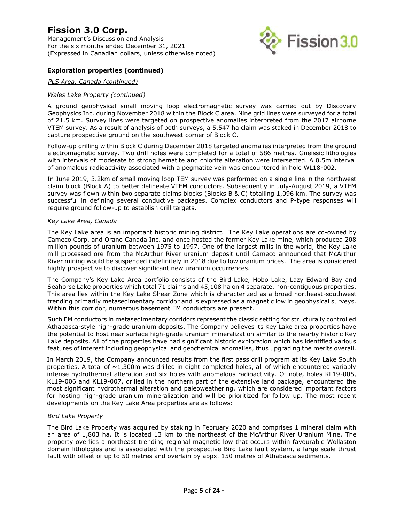

#### *PLS Area, Canada (continued)*

#### *Wales Lake Property (continued)*

A ground geophysical small moving loop electromagnetic survey was carried out by Discovery Geophysics Inc. during November 2018 within the Block C area. Nine grid lines were surveyed for a total of 21.5 km. Survey lines were targeted on prospective anomalies interpreted from the 2017 airborne VTEM survey. As a result of analysis of both surveys, a 5,547 ha claim was staked in December 2018 to capture prospective ground on the southwest corner of Block C.

Follow-up drilling within Block C during December 2018 targeted anomalies interpreted from the ground electromagnetic survey. Two drill holes were completed for a total of 586 metres. Gneissic lithologies with intervals of moderate to strong hematite and chlorite alteration were intersected. A 0.5m interval of anomalous radioactivity associated with a pegmatite vein was encountered in hole WL18-002.

In June 2019, 3.2km of small moving loop TEM survey was performed on a single line in the northwest claim block (Block A) to better delineate VTEM conductors. Subsequently in July-August 2019, a VTEM survey was flown within two separate claims blocks (Blocks B & C) totalling 1,096 km. The survey was successful in defining several conductive packages. Complex conductors and P-type responses will require ground follow-up to establish drill targets.

#### *Key Lake Area, Canada*

The Key Lake area is an important historic mining district. The Key Lake operations are co-owned by Cameco Corp. and Orano Canada Inc. and once hosted the former Key Lake mine, which produced 208 million pounds of uranium between 1975 to 1997. One of the largest mills in the world, the Key Lake mill processed ore from the McArthur River uranium deposit until Cameco announced that McArthur River mining would be suspended indefinitely in 2018 due to low uranium prices. The area is considered highly prospective to discover significant new uranium occurrences.

The Company's Key Lake Area portfolio consists of the Bird Lake, Hobo Lake, Lazy Edward Bay and Seahorse Lake properties which total 71 claims and 45,108 ha on 4 separate, non-contiguous properties. This area lies within the Key Lake Shear Zone which is characterized as a broad northeast-southwest trending primarily metasedimentary corridor and is expressed as a magnetic low in geophysical surveys. Within this corridor, numerous basement EM conductors are present.

Such EM conductors in metasedimentary corridors represent the classic setting for structurally controlled Athabasca-style high-grade uranium deposits. The Company believes its Key Lake area properties have the potential to host near surface high-grade uranium mineralization similar to the nearby historic Key Lake deposits. All of the properties have had significant historic exploration which has identified various features of interest including geophysical and geochemical anomalies, thus upgrading the merits overall.

In March 2019, the Company announced results from the first pass drill program at its Key Lake South properties. A total of ~1,300m was drilled in eight completed holes, all of which encountered variably intense hydrothermal alteration and six holes with anomalous radioactivity. Of note, holes KL19-005, KL19-006 and KL19-007, drilled in the northern part of the extensive land package, encountered the most significant hydrothermal alteration and paleoweathering, which are considered important factors for hosting high-grade uranium mineralization and will be prioritized for follow up. The most recent developments on the Key Lake Area properties are as follows:

#### *Bird Lake Property*

The Bird Lake Property was acquired by staking in February 2020 and comprises 1 mineral claim with an area of 1,803 ha. It is located 13 km to the northeast of the McArthur River Uranium Mine. The property overlies a northeast trending regional magnetic low that occurs within favourable Wollaston domain lithologies and is associated with the prospective Bird Lake fault system, a large scale thrust fault with offset of up to 50 metres and overlain by appx. 150 metres of Athabasca sediments.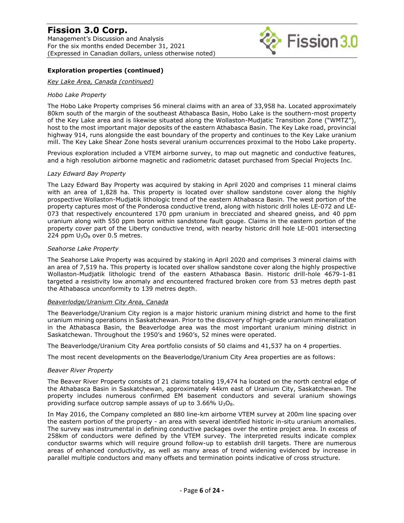

*Key Lake Area, Canada (continued)*

#### *Hobo Lake Property*

The Hobo Lake Property comprises 56 mineral claims with an area of 33,958 ha. Located approximately 80km south of the margin of the southeast Athabasca Basin, Hobo Lake is the southern-most property of the Key Lake area and is likewise situated along the Wollaston-Mudjatic Transition Zone ("WMTZ"), host to the most important major deposits of the eastern Athabasca Basin. The Key Lake road, provincial highway 914, runs alongside the east boundary of the property and continues to the Key Lake uranium mill. The Key Lake Shear Zone hosts several uranium occurrences proximal to the Hobo Lake property.

Previous exploration included a VTEM airborne survey, to map out magnetic and conductive features, and a high resolution airborne magnetic and radiometric dataset purchased from Special Projects Inc.

#### *Lazy Edward Bay Property*

The Lazy Edward Bay Property was acquired by staking in April 2020 and comprises 11 mineral claims with an area of 1,828 ha. This property is located over shallow sandstone cover along the highly prospective Wollaston-Mudjatik lithologic trend of the eastern Athabasca Basin. The west portion of the property captures most of the Ponderosa conductive trend, along with historic drill holes LE-072 and LE-073 that respectively encountered 170 ppm uranium in brecciated and sheared gneiss, and 40 ppm uranium along with 550 ppm boron within sandstone fault gouge. Claims in the eastern portion of the property cover part of the Liberty conductive trend, with nearby historic drill hole LE-001 intersecting 224 ppm  $U_3O_8$  over 0.5 metres.

#### *Seahorse Lake Property*

The Seahorse Lake Property was acquired by staking in April 2020 and comprises 3 mineral claims with an area of 7,519 ha. This property is located over shallow sandstone cover along the highly prospective Wollaston-Mudjatik lithologic trend of the eastern Athabasca Basin. Historic drill-hole 4679-1-81 targeted a resistivity low anomaly and encountered fractured broken core from 53 metres depth past the Athabasca unconformity to 139 metres depth.

#### *Beaverlodge/Uranium City Area, Canada*

The Beaverlodge/Uranium City region is a major historic uranium mining district and home to the first uranium mining operations in Saskatchewan. Prior to the discovery of high-grade uranium mineralization in the Athabasca Basin, the Beaverlodge area was the most important uranium mining district in Saskatchewan. Throughout the 1950's and 1960's, 52 mines were operated.

The Beaverlodge/Uranium City Area portfolio consists of 50 claims and 41,537 ha on 4 properties.

The most recent developments on the Beaverlodge/Uranium City Area properties are as follows:

#### *Beaver River Property*

The Beaver River Property consists of 21 claims totaling 19,474 ha located on the north central edge of the Athabasca Basin in Saskatchewan, approximately 44km east of Uranium City, Saskatchewan. The property includes numerous confirmed EM basement conductors and several uranium showings providing surface outcrop sample assays of up to 3.66%  $U_3O_8$ .

In May 2016, the Company completed an 880 line-km airborne VTEM survey at 200m line spacing over the eastern portion of the property - an area with several identified historic in-situ uranium anomalies. The survey was instrumental in defining conductive packages over the entire project area. In excess of 258km of conductors were defined by the VTEM survey. The interpreted results indicate complex conductor swarms which will require ground follow-up to establish drill targets. There are numerous areas of enhanced conductivity, as well as many areas of trend widening evidenced by increase in parallel multiple conductors and many offsets and termination points indicative of cross structure.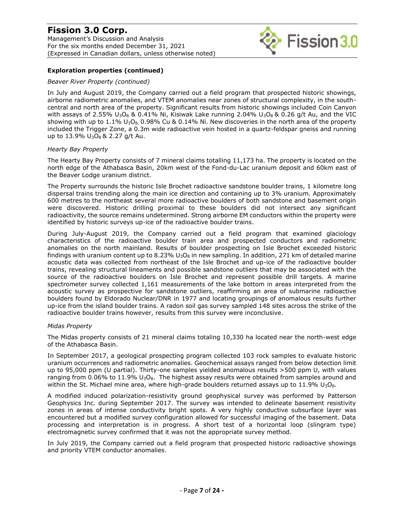

#### *Beaver River Property (continued)*

In July and August 2019, the Company carried out a field program that prospected historic showings, airborne radiometric anomalies, and VTEM anomalies near zones of structural complexity, in the southcentral and north area of the property. Significant results from historic showings included Coin Canyon with assays of 2.55%  $U_3O_8$  & 0.41% Ni, Kisiwak Lake running 2.04%  $U_3O_8$  & 0.26 g/t Au, and the VIC showing with up to 1.1%  $U_3O_8$ , 0.98% Cu & 0.14% Ni. New discoveries in the north area of the property included the Trigger Zone, a 0.3m wide radioactive vein hosted in a quartz-feldspar gneiss and running up to 13.9% U3O8 & 2.27 g/t Au.

#### *Hearty Bay Property*

The Hearty Bay Property consists of 7 mineral claims totalling 11,173 ha. The property is located on the north edge of the Athabasca Basin, 20km west of the Fond-du-Lac uranium deposit and 60km east of the Beaver Lodge uranium district.

The Property surrounds the historic Isle Brochet radioactive sandstone boulder trains, 1 kilometre long dispersal trains trending along the main ice direction and containing up to 3% uranium. Approximately 600 metres to the northeast several more radioactive boulders of both sandstone and basement origin were discovered. Historic drilling proximal to these boulders did not intersect any significant radioactivity, the source remains undetermined. Strong airborne EM conductors within the property were identified by historic surveys up-ice of the radioactive boulder trains.

During July-August 2019, the Company carried out a field program that examined glaciology characteristics of the radioactive boulder train area and prospected conductors and radiometric anomalies on the north mainland. Results of boulder prospecting on Isle Brochet exceeded historic findings with uranium content up to 8.23%  $U_3O_8$  in new sampling. In addition, 271 km of detailed marine acoustic data was collected from northeast of the Isle Brochet and up-ice of the radioactive boulder trains, revealing structural lineaments and possible sandstone outliers that may be associated with the source of the radioactive boulders on Isle Brochet and represent possible drill targets. A marine spectrometer survey collected 1,161 measurements of the lake bottom in areas interpreted from the acoustic survey as prospective for sandstone outliers, reaffirming an area of submarine radioactive boulders found by Eldorado Nuclear/DNR in 1977 and locating groupings of anomalous results further up-ice from the island boulder trains. A radon soil gas survey sampled 148 sites across the strike of the radioactive boulder trains however, results from this survey were inconclusive.

#### *Midas Property*

The Midas property consists of 21 mineral claims totaling 10,330 ha located near the north-west edge of the Athabasca Basin.

In September 2017, a geological prospecting program collected 103 rock samples to evaluate historic uranium occurrences and radiometric anomalies. Geochemical assays ranged from below detection limit up to 95,000 ppm (U partial). Thirty-one samples yielded anomalous results >500 ppm U, with values ranging from 0.06% to 11.9%  $U_3O_8$ . The highest assay results were obtained from samples around and within the St. Michael mine area, where high-grade boulders returned assays up to 11.9%  $U_3O_8$ .

A modified induced polarization-resistivity ground geophysical survey was performed by Patterson Geophysics Inc. during September 2017. The survey was intended to delineate basement resistivity zones in areas of intense conductivity bright spots. A very highly conductive subsurface layer was encountered but a modified survey configuration allowed for successful imaging of the basement. Data processing and interpretation is in progress. A short test of a horizontal loop (slingram type) electromagnetic survey confirmed that it was not the appropriate survey method.

In July 2019, the Company carried out a field program that prospected historic radioactive showings and priority VTEM conductor anomalies.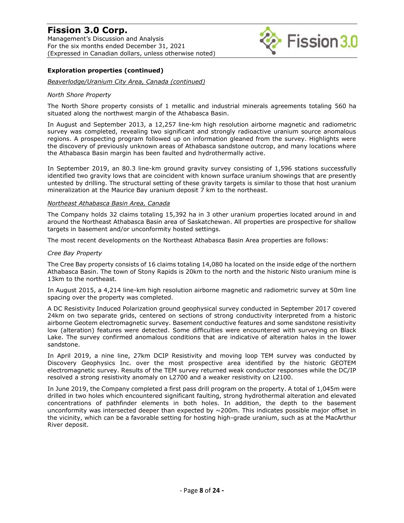

*Beaverlodge/Uranium City Area, Canada (continued)*

#### *North Shore Property*

The North Shore property consists of 1 metallic and industrial minerals agreements totaling 560 ha situated along the northwest margin of the Athabasca Basin.

In August and September 2013, a 12,257 line-km high resolution airborne magnetic and radiometric survey was completed, revealing two significant and strongly radioactive uranium source anomalous regions. A prospecting program followed up on information gleaned from the survey. Highlights were the discovery of previously unknown areas of Athabasca sandstone outcrop, and many locations where the Athabasca Basin margin has been faulted and hydrothermally active.

In September 2019, an 80.3 line-km ground gravity survey consisting of 1,596 stations successfully identified two gravity lows that are coincident with known surface uranium showings that are presently untested by drilling. The structural setting of these gravity targets is similar to those that host uranium mineralization at the Maurice Bay uranium deposit 7 km to the northeast.

#### *Northeast Athabasca Basin Area, Canada*

The Company holds 32 claims totaling 15,392 ha in 3 other uranium properties located around in and around the Northeast Athabasca Basin area of Saskatchewan. All properties are prospective for shallow targets in basement and/or unconformity hosted settings.

The most recent developments on the Northeast Athabasca Basin Area properties are follows:

#### *Cree Bay Property*

The Cree Bay property consists of 16 claims totaling 14,080 ha located on the inside edge of the northern Athabasca Basin. The town of Stony Rapids is 20km to the north and the historic Nisto uranium mine is 13km to the northeast.

In August 2015, a 4,214 line-km high resolution airborne magnetic and radiometric survey at 50m line spacing over the property was completed.

A DC Resistivity Induced Polarization ground geophysical survey conducted in September 2017 covered 24km on two separate grids, centered on sections of strong conductivity interpreted from a historic airborne Geotem electromagnetic survey. Basement conductive features and some sandstone resistivity low (alteration) features were detected. Some difficulties were encountered with surveying on Black Lake. The survey confirmed anomalous conditions that are indicative of alteration halos in the lower sandstone.

In April 2019, a nine line, 27km DCIP Resistivity and moving loop TEM survey was conducted by Discovery Geophysics Inc. over the most prospective area identified by the historic GEOTEM electromagnetic survey. Results of the TEM survey returned weak conductor responses while the DC/IP resolved a strong resistivity anomaly on L2700 and a weaker resistivity on L2100.

In June 2019, the Company completed a first pass drill program on the property. A total of 1,045m were drilled in two holes which encountered significant faulting, strong hydrothermal alteration and elevated concentrations of pathfinder elements in both holes. In addition, the depth to the basement unconformity was intersected deeper than expected by  $\sim$  200m. This indicates possible major offset in the vicinity, which can be a favorable setting for hosting high-grade uranium, such as at the MacArthur River deposit.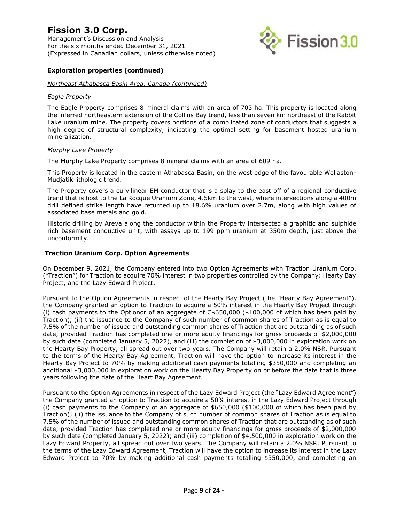

*Northeast Athabasca Basin Area, Canada (continued)*

#### *Eagle Property*

The Eagle Property comprises 8 mineral claims with an area of 703 ha. This property is located along the inferred northeastern extension of the Collins Bay trend, less than seven km northeast of the Rabbit Lake uranium mine. The property covers portions of a complicated zone of conductors that suggests a high degree of structural complexity, indicating the optimal setting for basement hosted uranium mineralization.

#### *Murphy Lake Property*

The Murphy Lake Property comprises 8 mineral claims with an area of 609 ha.

This Property is located in the eastern Athabasca Basin, on the west edge of the favourable Wollaston-Mudjatik lithologic trend.

The Property covers a curvilinear EM conductor that is a splay to the east off of a regional conductive trend that is host to the La Rocque Uranium Zone, 4.5km to the west, where intersections along a 400m drill defined strike length have returned up to 18.6% uranium over 2.7m, along with high values of associated base metals and gold.

Historic drilling by Areva along the conductor within the Property intersected a graphitic and sulphide rich basement conductive unit, with assays up to 199 ppm uranium at 350m depth, just above the unconformity.

#### **Traction Uranium Corp. Option Agreements**

On December 9, 2021, the Company entered into two Option Agreements with Traction Uranium Corp. ("Traction") for Traction to acquire 70% interest in two properties controlled by the Company: Hearty Bay Project, and the Lazy Edward Project.

Pursuant to the Option Agreements in respect of the Hearty Bay Project (the "Hearty Bay Agreement"), the Company granted an option to Traction to acquire a 50% interest in the Hearty Bay Project through (i) cash payments to the Optionor of an aggregate of C\$650,000 (\$100,000 of which has been paid by Traction), (ii) the issuance to the Company of such number of common shares of Traction as is equal to 7.5% of the number of issued and outstanding common shares of Traction that are outstanding as of such date, provided Traction has completed one or more equity financings for gross proceeds of \$2,000,000 by such date (completed January 5, 2022), and (iii) the completion of \$3,000,000 in exploration work on the Hearty Bay Property, all spread out over two years. The Company will retain a 2.0% NSR. Pursuant to the terms of the Hearty Bay Agreement, Traction will have the option to increase its interest in the Hearty Bay Project to 70% by making additional cash payments totalling \$350,000 and completing an additional \$3,000,000 in exploration work on the Hearty Bay Property on or before the date that is three years following the date of the Heart Bay Agreement.

Pursuant to the Option Agreements in respect of the Lazy Edward Project (the "Lazy Edward Agreement") the Company granted an option to Traction to acquire a 50% interest in the Lazy Edward Project through (i) cash payments to the Company of an aggregate of \$650,000 (\$100,000 of which has been paid by Traction); (ii) the issuance to the Company of such number of common shares of Traction as is equal to 7.5% of the number of issued and outstanding common shares of Traction that are outstanding as of such date, provided Traction has completed one or more equity financings for gross proceeds of \$2,000,000 by such date (completed January 5, 2022); and (iii) completion of \$4,500,000 in exploration work on the Lazy Edward Property, all spread out over two years. The Company will retain a 2.0% NSR. Pursuant to the terms of the Lazy Edward Agreement, Traction will have the option to increase its interest in the Lazy Edward Project to 70% by making additional cash payments totalling \$350,000, and completing an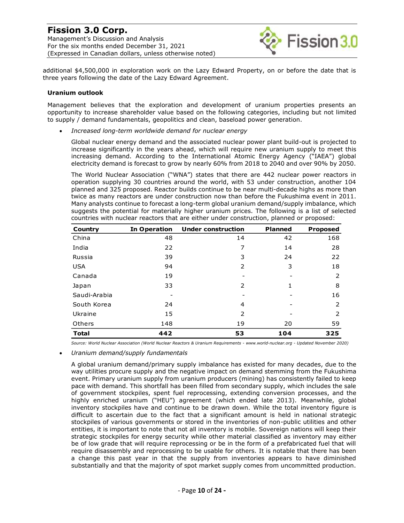

additional \$4,500,000 in exploration work on the Lazy Edward Property, on or before the date that is three years following the date of the Lazy Edward Agreement.

#### **Uranium outlook**

Management believes that the exploration and development of uranium properties presents an opportunity to increase shareholder value based on the following categories, including but not limited to supply / demand fundamentals, geopolitics and clean, baseload power generation.

• *Increased long-term worldwide demand for nuclear energy*

Global nuclear energy demand and the associated nuclear power plant build-out is projected to increase significantly in the years ahead, which will require new uranium supply to meet this increasing demand. According to the International Atomic Energy Agency ("IAEA") global electricity demand is forecast to grow by nearly 60% from 2018 to 2040 and over 90% by 2050.

The World Nuclear Association ("WNA") states that there are 442 nuclear power reactors in operation supplying 30 countries around the world, with 53 under construction, another 104 planned and 325 proposed. Reactor builds continue to be near multi-decade highs as more than twice as many reactors are under construction now than before the Fukushima event in 2011. Many analysts continue to forecast a long-term global uranium demand/supply imbalance, which suggests the potential for materially higher uranium prices. The following is a list of selected countries with nuclear reactors that are either under construction, planned or proposed:

| Country       | In Operation | <b>Under construction</b> | <b>Planned</b> | <b>Proposed</b> |
|---------------|--------------|---------------------------|----------------|-----------------|
| China         | 48           | 14                        | 42             | 168             |
| India         | 22           | 7                         | 14             | 28              |
| Russia        | 39           | 3                         | 24             | 22              |
| <b>USA</b>    | 94           | 2                         | 3              | 18              |
| Canada        | 19           |                           |                | 2               |
| Japan         | 33           | 2                         | 1              | 8               |
| Saudi-Arabia  |              |                           |                | 16              |
| South Korea   | 24           | 4                         |                | 2               |
| Ukraine       | 15           | 2                         |                | $\mathcal{P}$   |
| <b>Others</b> | 148          | 19                        | 20             | 59              |
| <b>Total</b>  | 442          | 53                        | 104            | 325             |

*Source: World Nuclear Association (World Nuclear Reactors & Uranium Requirements - www.world-nuclear.org - Updated November 2020)* 

• *Uranium demand/supply fundamentals*

A global uranium demand/primary supply imbalance has existed for many decades, due to the way utilities procure supply and the negative impact on demand stemming from the Fukushima event. Primary uranium supply from uranium producers (mining) has consistently failed to keep pace with demand. This shortfall has been filled from secondary supply, which includes the sale of government stockpiles, spent fuel reprocessing, extending conversion processes, and the highly enriched uranium ("HEU") agreement (which ended late 2013). Meanwhile, global inventory stockpiles have and continue to be drawn down. While the total inventory figure is difficult to ascertain due to the fact that a significant amount is held in national strategic stockpiles of various governments or stored in the inventories of non-public utilities and other entities, it is important to note that not all inventory is mobile. Sovereign nations will keep their strategic stockpiles for energy security while other material classified as inventory may either be of low grade that will require reprocessing or be in the form of a prefabricated fuel that will require disassembly and reprocessing to be usable for others. It is notable that there has been a change this past year in that the supply from inventories appears to have diminished substantially and that the majority of spot market supply comes from uncommitted production.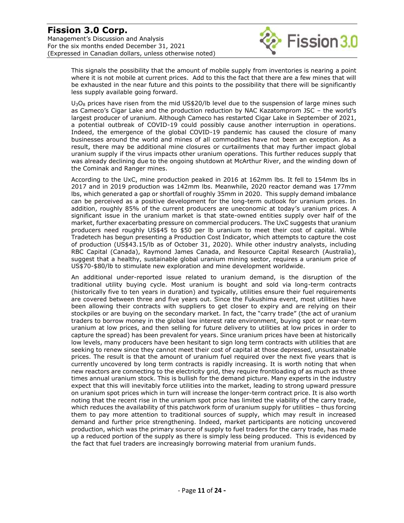

This signals the possibility that the amount of mobile supply from inventories is nearing a point where it is not mobile at current prices. Add to this the fact that there are a few mines that will be exhausted in the near future and this points to the possibility that there will be significantly less supply available going forward.

 $U_3O_8$  prices have risen from the mid US\$20/Ib level due to the suspension of large mines such as Cameco's Cigar Lake and the production reduction by NAC Kazatomprom JSC – the world's largest producer of uranium. Although Cameco has restarted Cigar Lake in September of 2021, a potential outbreak of COVID-19 could possibly cause another interruption in operations. Indeed, the emergence of the global COVID-19 pandemic has caused the closure of many businesses around the world and mines of all commodities have not been an exception. As a result, there may be additional mine closures or curtailments that may further impact global uranium supply if the virus impacts other uranium operations. This further reduces supply that was already declining due to the ongoing shutdown at McArthur River, and the winding down of the Cominak and Ranger mines.

According to the UxC, mine production peaked in 2016 at 162mm lbs. It fell to 154mm lbs in 2017 and in 2019 production was 142mm lbs. Meanwhile, 2020 reactor demand was 177mm lbs, which generated a gap or shortfall of roughly 35mm in 2020. This supply demand imbalance can be perceived as a positive development for the long-term outlook for uranium prices. In addition, roughly 85% of the current producers are uneconomic at today's uranium prices. A significant issue in the uranium market is that state-owned entities supply over half of the market, further exacerbating pressure on commercial producers. The UxC suggests that uranium producers need roughly US\$45 to \$50 per lb uranium to meet their cost of capital. While Tradetech has begun presenting a Production Cost Indicator, which attempts to capture the cost of production (US\$43.15/lb as of October 31, 2020). While other industry analysts, including RBC Capital (Canada), Raymond James Canada, and Resource Capital Research (Australia), suggest that a healthy, sustainable global uranium mining sector, requires a uranium price of US\$70-\$80/lb to stimulate new exploration and mine development worldwide.

An additional under-reported issue related to uranium demand, is the disruption of the traditional utility buying cycle. Most uranium is bought and sold via long-term contracts (historically five to ten years in duration) and typically, utilities ensure their fuel requirements are covered between three and five years out. Since the Fukushima event, most utilities have been allowing their contracts with suppliers to get closer to expiry and are relying on their stockpiles or are buying on the secondary market. In fact, the "carry trade" (the act of uranium traders to borrow money in the global low interest rate environment, buying spot or near-term uranium at low prices, and then selling for future delivery to utilities at low prices in order to capture the spread) has been prevalent for years. Since uranium prices have been at historically low levels, many producers have been hesitant to sign long term contracts with utilities that are seeking to renew since they cannot meet their cost of capital at those depressed, unsustainable prices. The result is that the amount of uranium fuel required over the next five years that is currently uncovered by long term contracts is rapidly increasing. It is worth noting that when new reactors are connecting to the electricity grid, they require frontloading of as much as three times annual uranium stock. This is bullish for the demand picture. Many experts in the industry expect that this will inevitably force utilities into the market, leading to strong upward pressure on uranium spot prices which in turn will increase the longer-term contract price. It is also worth noting that the recent rise in the uranium spot price has limited the viability of the carry trade, which reduces the availability of this patchwork form of uranium supply for utilities - thus forcing them to pay more attention to traditional sources of supply, which may result in increased demand and further price strengthening. Indeed, market participants are noticing uncovered production, which was the primary source of supply to fuel traders for the carry trade, has made up a reduced portion of the supply as there is simply less being produced. This is evidenced by the fact that fuel traders are increasingly borrowing material from uranium funds.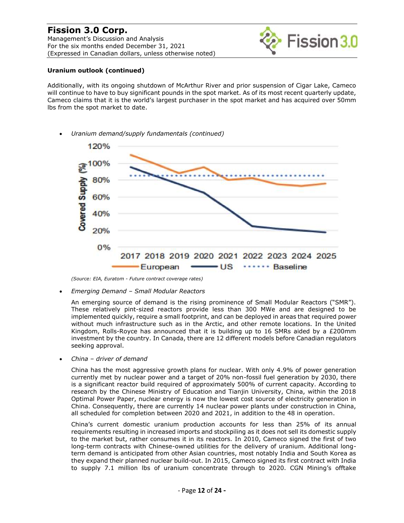

#### **Uranium outlook (continued)**

Additionally, with its ongoing shutdown of McArthur River and prior suspension of Cigar Lake, Cameco will continue to have to buy significant pounds in the spot market. As of its most recent quarterly update, Cameco claims that it is the world's largest purchaser in the spot market and has acquired over 50mm lbs from the spot market to date.

• *Uranium demand/supply fundamentals (continued)*



*(Source: EIA, Euratom - Future contract coverage rates)*

• *Emerging Demand – Small Modular Reactors*

An emerging source of demand is the rising prominence of Small Modular Reactors ("SMR"). These relatively pint-sized reactors provide less than 300 MWe and are designed to be implemented quickly, require a small footprint, and can be deployed in areas that required power without much infrastructure such as in the Arctic, and other remote locations. In the United Kingdom, Rolls-Royce has announced that it is building up to 16 SMRs aided by a £200mm investment by the country. In Canada, there are 12 different models before Canadian regulators seeking approval.

• *China – driver of demand*

China has the most aggressive growth plans for nuclear. With only 4.9% of power generation currently met by nuclear power and a target of 20% non-fossil fuel generation by 2030, there is a significant reactor build required of approximately 500% of current capacity. According to research by the Chinese Ministry of Education and Tianjin University, China, within the 2018 Optimal Power Paper, nuclear energy is now the lowest cost source of electricity generation in China. Consequently, there are currently 14 nuclear power plants under construction in China, all scheduled for completion between 2020 and 2021, in addition to the 48 in operation.

China's current domestic uranium production accounts for less than 25% of its annual requirements resulting in increased imports and stockpiling as it does not sell its domestic supply to the market but, rather consumes it in its reactors. In 2010, Cameco signed the first of two long-term contracts with Chinese-owned utilities for the delivery of uranium. Additional longterm demand is anticipated from other Asian countries, most notably India and South Korea as they expand their planned nuclear build-out. In 2015, Cameco signed its first contract with India to supply 7.1 million lbs of uranium concentrate through to 2020. CGN Mining's offtake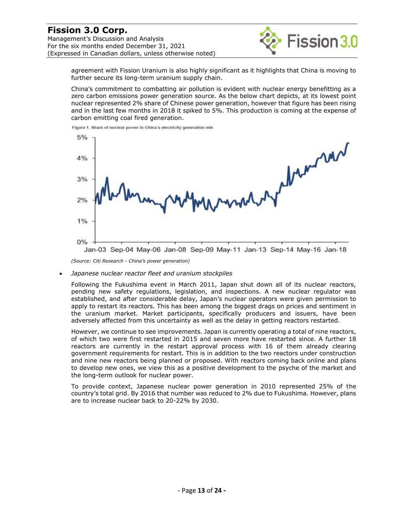

agreement with Fission Uranium is also highly significant as it highlights that China is moving to further secure its long-term uranium supply chain.

China's commitment to combatting air pollution is evident with nuclear energy benefitting as a zero carbon emissions power generation source. As the below chart depicts, at its lowest point nuclear represented 2% share of Chinese power generation, however that figure has been rising and in the last few months in 2018 it spiked to 5%. This production is coming at the expense of carbon emitting coal fired generation.



Figure 1. Share of nuclear power in China's electricity generation mix

*(Source: Citi Research - China's power generation)*

#### • *Japanese nuclear reactor fleet and uranium stockpiles*

Following the Fukushima event in March 2011, Japan shut down all of its nuclear reactors, pending new safety regulations, legislation, and inspections. A new nuclear regulator was established, and after considerable delay, Japan's nuclear operators were given permission to apply to restart its reactors. This has been among the biggest drags on prices and sentiment in the uranium market. Market participants, specifically producers and issuers, have been adversely affected from this uncertainty as well as the delay in getting reactors restarted.

However, we continue to see improvements. Japan is currently operating a total of nine reactors, of which two were first restarted in 2015 and seven more have restarted since. A further 18 reactors are currently in the restart approval process with 16 of them already clearing government requirements for restart. This is in addition to the two reactors under construction and nine new reactors being planned or proposed. With reactors coming back online and plans to develop new ones, we view this as a positive development to the psyche of the market and the long-term outlook for nuclear power.

To provide context, Japanese nuclear power generation in 2010 represented 25% of the country's total grid. By 2016 that number was reduced to 2% due to Fukushima. However, plans are to increase nuclear back to 20-22% by 2030.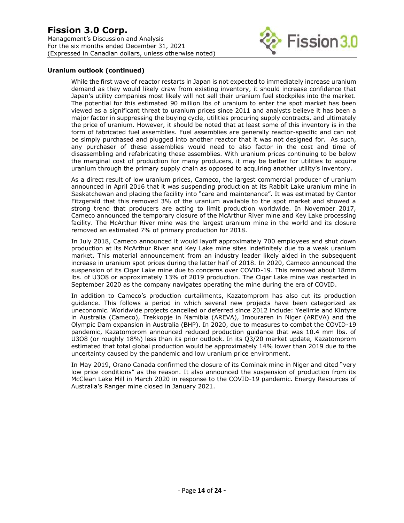

# **Uranium outlook (continued)**

While the first wave of reactor restarts in Japan is not expected to immediately increase uranium demand as they would likely draw from existing inventory, it should increase confidence that Japan's utility companies most likely will not sell their uranium fuel stockpiles into the market. The potential for this estimated 90 million lbs of uranium to enter the spot market has been viewed as a significant threat to uranium prices since 2011 and analysts believe it has been a major factor in suppressing the buying cycle, utilities procuring supply contracts, and ultimately the price of uranium. However, it should be noted that at least some of this inventory is in the form of fabricated fuel assemblies. Fuel assemblies are generally reactor-specific and can not be simply purchased and plugged into another reactor that it was not designed for. As such, any purchaser of these assemblies would need to also factor in the cost and time of disassembling and refabricating these assemblies. With uranium prices continuing to be below the marginal cost of production for many producers, it may be better for utilities to acquire uranium through the primary supply chain as opposed to acquiring another utility's inventory.

As a direct result of low uranium prices, Cameco, the largest commercial producer of uranium announced in April 2016 that it was suspending production at its Rabbit Lake uranium mine in Saskatchewan and placing the facility into "care and maintenance". It was estimated by Cantor Fitzgerald that this removed 3% of the uranium available to the spot market and showed a strong trend that producers are acting to limit production worldwide. In November 2017, Cameco announced the temporary closure of the McArthur River mine and Key Lake processing facility. The McArthur River mine was the largest uranium mine in the world and its closure removed an estimated 7% of primary production for 2018.

In July 2018, Cameco announced it would layoff approximately 700 employees and shut down production at its McArthur River and Key Lake mine sites indefinitely due to a weak uranium market. This material announcement from an industry leader likely aided in the subsequent increase in uranium spot prices during the latter half of 2018. In 2020, Cameco announced the suspension of its Cigar Lake mine due to concerns over COVID-19. This removed about 18mm lbs. of U3O8 or approximately 13% of 2019 production. The Cigar Lake mine was restarted in September 2020 as the company navigates operating the mine during the era of COVID.

In addition to Cameco's production curtailments, Kazatomprom has also cut its production guidance. This follows a period in which several new projects have been categorized as uneconomic. Worldwide projects cancelled or deferred since 2012 include: Yeelirrie and Kintyre in Australia (Cameco), Trekkopje in Namibia (AREVA), Imouraren in Niger (AREVA) and the Olympic Dam expansion in Australia (BHP). In 2020, due to measures to combat the COVID-19 pandemic, Kazatomprom announced reduced production guidance that was 10.4 mm lbs. of U3O8 (or roughly 18%) less than its prior outlook. In its Q3/20 market update, Kazatomprom estimated that total global production would be approximately 14% lower than 2019 due to the uncertainty caused by the pandemic and low uranium price environment.

In May 2019, Orano Canada confirmed the closure of its Cominak mine in Niger and cited "very low price conditions" as the reason. It also announced the suspension of production from its McClean Lake Mill in March 2020 in response to the COVID-19 pandemic. Energy Resources of Australia's Ranger mine closed in January 2021.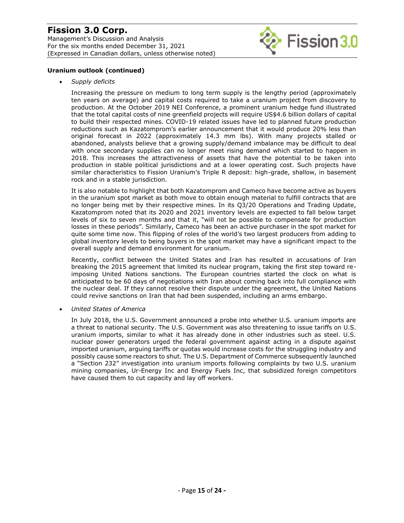

# **Uranium outlook (continued)**

• *Supply deficits* 

Increasing the pressure on medium to long term supply is the lengthy period (approximately ten years on average) and capital costs required to take a uranium project from discovery to production. At the October 2019 NEI Conference, a prominent uranium hedge fund illustrated that the total capital costs of nine greenfield projects will require US\$4.6 billion dollars of capital to build their respected mines. COVID-19 related issues have led to planned future production reductions such as Kazatomprom's earlier announcement that it would produce 20% less than original forecast in 2022 (approximately 14.3 mm lbs). With many projects stalled or abandoned, analysts believe that a growing supply/demand imbalance may be difficult to deal with once secondary supplies can no longer meet rising demand which started to happen in 2018. This increases the attractiveness of assets that have the potential to be taken into production in stable political jurisdictions and at a lower operating cost. Such projects have similar characteristics to Fission Uranium's Triple R deposit: high-grade, shallow, in basement rock and in a stable jurisdiction.

It is also notable to highlight that both Kazatomprom and Cameco have become active as buyers in the uranium spot market as both move to obtain enough material to fulfill contracts that are no longer being met by their respective mines. In its Q3/20 Operations and Trading Update, Kazatomprom noted that its 2020 and 2021 inventory levels are expected to fall below target levels of six to seven months and that it, "will not be possible to compensate for production losses in these periods". Similarly, Cameco has been an active purchaser in the spot market for quite some time now. This flipping of roles of the world's two largest producers from adding to global inventory levels to being buyers in the spot market may have a significant impact to the overall supply and demand environment for uranium.

Recently, conflict between the United States and Iran has resulted in accusations of Iran breaking the 2015 agreement that limited its nuclear program, taking the first step toward reimposing United Nations sanctions. The European countries started the clock on what is anticipated to be 60 days of negotiations with Iran about coming back into full compliance with the nuclear deal. If they cannot resolve their dispute under the agreement, the United Nations could revive sanctions on Iran that had been suspended, including an arms embargo.

• *United States of America*

In July 2018, the U.S. Government announced a probe into whether U.S. uranium imports are a threat to national security. The U.S. Government was also threatening to issue tariffs on U.S. uranium imports, similar to what it has already done in other industries such as steel. U.S. nuclear power generators urged the federal government against acting in a dispute against imported uranium, arguing tariffs or quotas would increase costs for the struggling industry and possibly cause some reactors to shut. The U.S. Department of Commerce subsequently launched a "Section 232" investigation into uranium imports following complaints by two U.S. uranium mining companies, Ur-Energy Inc and Energy Fuels Inc, that subsidized foreign competitors have caused them to cut capacity and lay off workers.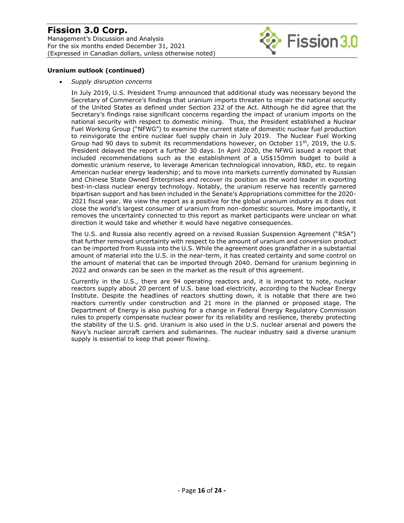

# **Uranium outlook (continued)**

• *Supply disruption concerns*

In July 2019, U.S. President Trump announced that additional study was necessary beyond the Secretary of Commerce's findings that uranium imports threaten to impair the national security of the United States as defined under Section 232 of the Act. Although he did agree that the Secretary's findings raise significant concerns regarding the impact of uranium imports on the national security with respect to domestic mining. Thus, the President established a Nuclear Fuel Working Group ("NFWG") to examine the current state of domestic nuclear fuel production to reinvigorate the entire nuclear fuel supply chain in July 2019. The Nuclear Fuel Working Group had 90 days to submit its recommendations however, on October  $11<sup>th</sup>$ , 2019, the U.S. President delayed the report a further 30 days. In April 2020, the NFWG issued a report that included recommendations such as the establishment of a US\$150mm budget to build a domestic uranium reserve, to leverage American technological innovation, R&D, etc. to regain American nuclear energy leadership; and to move into markets currently dominated by Russian and Chinese State Owned Enterprises and recover its position as the world leader in exporting best-in-class nuclear energy technology. Notably, the uranium reserve has recently garnered bipartisan support and has been included in the Senate's Appropriations committee for the 2020- 2021 fiscal year. We view the report as a positive for the global uranium industry as it does not close the world's largest consumer of uranium from non-domestic sources. More importantly, it removes the uncertainty connected to this report as market participants were unclear on what direction it would take and whether it would have negative consequences.

The U.S. and Russia also recently agreed on a revised Russian Suspension Agreement ("RSA") that further removed uncertainty with respect to the amount of uranium and conversion product can be imported from Russia into the U.S. While the agreement does grandfather in a substantial amount of material into the U.S. in the near-term, it has created certainty and some control on the amount of material that can be imported through 2040. Demand for uranium beginning in 2022 and onwards can be seen in the market as the result of this agreement.

Currently in the U.S., there are 94 operating reactors and, it is important to note, nuclear reactors supply about 20 percent of U.S. base load electricity, according to the Nuclear Energy Institute. Despite the headlines of reactors shutting down, it is notable that there are two reactors currently under construction and 21 more in the planned or proposed stage. The Department of Energy is also pushing for a change in Federal Energy Regulatory Commission rules to properly compensate nuclear power for its reliability and resilience, thereby protecting the stability of the U.S. grid. Uranium is also used in the U.S. nuclear arsenal and powers the Navy's nuclear aircraft carriers and submarines. The nuclear industry said a diverse uranium supply is essential to keep that power flowing.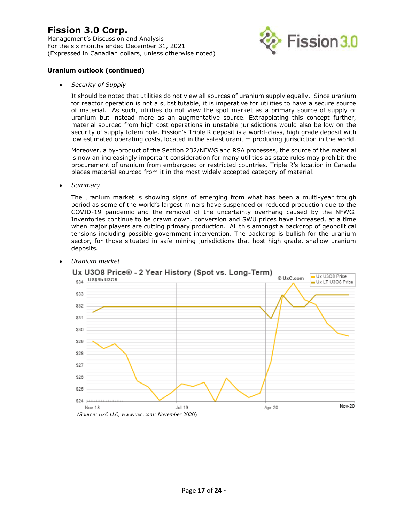

#### **Uranium outlook (continued)**

• *Security of Supply*

It should be noted that utilities do not view all sources of uranium supply equally. Since uranium for reactor operation is not a substitutable, it is imperative for utilities to have a secure source of material. As such, utilities do not view the spot market as a primary source of supply of uranium but instead more as an augmentative source. Extrapolating this concept further, material sourced from high cost operations in unstable jurisdictions would also be low on the security of supply totem pole. Fission's Triple R deposit is a world-class, high grade deposit with low estimated operating costs, located in the safest uranium producing jurisdiction in the world.

Moreover, a by-product of the Section 232/NFWG and RSA processes, the source of the material is now an increasingly important consideration for many utilities as state rules may prohibit the procurement of uranium from embargoed or restricted countries. Triple R's location in Canada places material sourced from it in the most widely accepted category of material.

• *Summary*

The uranium market is showing signs of emerging from what has been a multi-year trough period as some of the world's largest miners have suspended or reduced production due to the COVID-19 pandemic and the removal of the uncertainty overhang caused by the NFWG. Inventories continue to be drawn down, conversion and SWU prices have increased, at a time when major players are cutting primary production. All this amongst a backdrop of geopolitical tensions including possible government intervention. The backdrop is bullish for the uranium sector, for those situated in safe mining jurisdictions that host high grade, shallow uranium deposits*.*



• *Uranium market*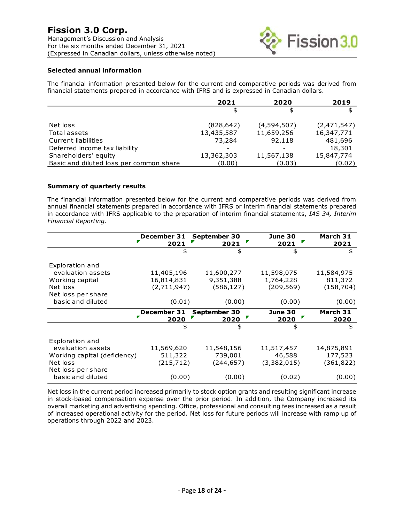# **Fission 3.0 Corp.**

Management's Discussion and Analysis For the six months ended December 31, 2021 (Expressed in Canadian dollars, unless otherwise noted)



#### **Selected annual information**

The financial information presented below for the current and comparative periods was derived from financial statements prepared in accordance with IFRS and is expressed in Canadian dollars.

|                                         | 2021       | 2020        | 2019        |
|-----------------------------------------|------------|-------------|-------------|
|                                         |            | \$          |             |
| Net loss                                | (828, 642) | (4,594,507) | (2,471,547) |
| Total assets                            | 13,435,587 | 11,659,256  | 16,347,771  |
| <b>Current liabilities</b>              | 73,284     | 92,118      | 481,696     |
| Deferred income tax liability           |            |             | 18,301      |
| Shareholders' equity                    | 13,362,303 | 11,567,138  | 15,847,774  |
| Basic and diluted loss per common share | (0.00)     | (0.03)      | (0.02)      |

#### **Summary of quarterly results**

The financial information presented below for the current and comparative periods was derived from annual financial statements prepared in accordance with IFRS or interim financial statements prepared in accordance with IFRS applicable to the preparation of interim financial statements, *IAS 34, Interim Financial Reporting*.

|                                | December 31<br>2021 | September 30<br>2021 | June 30<br>2021 | March 31<br>2021 |
|--------------------------------|---------------------|----------------------|-----------------|------------------|
|                                | \$                  | \$                   | \$              | \$               |
| Exploration and                |                     |                      |                 |                  |
| evaluation assets              | 11,405,196          | 11,600,277           | 11,598,075      | 11,584,975       |
| Working capital                | 16,814,831          | 9,351,388            | 1,764,228       | 811,372          |
| Net loss                       | (2,711,947)         | (586, 127)           | (209, 569)      | (158, 704)       |
| Net loss per share             |                     |                      |                 |                  |
| basic and diluted              | (0.01)              | (0.00)               | (0.00)          | (0.00)           |
|                                | December 31<br>2020 | September 30<br>2020 | June 30<br>2020 | March 31<br>2020 |
|                                | \$                  | \$                   | \$              | \$               |
| Exploration and                |                     |                      |                 |                  |
| evaluation assets              | 11,569,620          | 11,548,156           | 11,517,457      | 14,875,891       |
| Working capital (deficiency)   | 511,322             | 739,001              | 46,588          | 177,523          |
| Net loss<br>Net loss per share | (215, 712)          | (244,657)            | (3,382,015)     | (361, 822)       |
| basic and diluted              | (0.00)              | (0.00)               | (0.02)          | (0.00)           |

Net loss in the current period increased primarily to stock option grants and resulting significant increase in stock-based compensation expense over the prior period. In addition, the Company increased its overall marketing and advertising spending. Office, professional and consulting fees increased as a result of increased operational activity for the period. Net loss for future periods will increase with ramp up of operations through 2022 and 2023.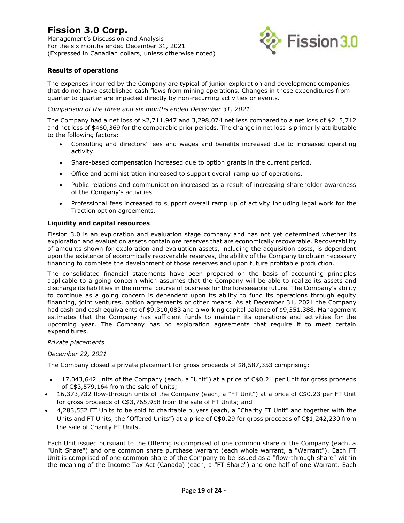

#### **Results of operations**

The expenses incurred by the Company are typical of junior exploration and development companies that do not have established cash flows from mining operations. Changes in these expenditures from quarter to quarter are impacted directly by non-recurring activities or events.

#### *Comparison of the three and six months ended December 31, 2021*

The Company had a net loss of \$2,711,947 and 3,298,074 net less compared to a net loss of \$215,712 and net loss of \$460,369 for the comparable prior periods. The change in net loss is primarily attributable to the following factors:

- Consulting and directors' fees and wages and benefits increased due to increased operating activity.
- Share-based compensation increased due to option grants in the current period.
- Office and administration increased to support overall ramp up of operations.
- Public relations and communication increased as a result of increasing shareholder awareness of the Company's activities.
- Professional fees increased to support overall ramp up of activity including legal work for the Traction option agreements.

#### **Liquidity and capital resources**

Fission 3.0 is an exploration and evaluation stage company and has not yet determined whether its exploration and evaluation assets contain ore reserves that are economically recoverable. Recoverability of amounts shown for exploration and evaluation assets, including the acquisition costs, is dependent upon the existence of economically recoverable reserves, the ability of the Company to obtain necessary financing to complete the development of those reserves and upon future profitable production.

The consolidated financial statements have been prepared on the basis of accounting principles applicable to a going concern which assumes that the Company will be able to realize its assets and discharge its liabilities in the normal course of business for the foreseeable future. The Company's ability to continue as a going concern is dependent upon its ability to fund its operations through equity financing, joint ventures, option agreements or other means. As at December 31, 2021 the Company had cash and cash equivalents of \$9,310,083 and a working capital balance of \$9,351,388. Management estimates that the Company has sufficient funds to maintain its operations and activities for the upcoming year. The Company has no exploration agreements that require it to meet certain expenditures.

#### *Private placements*

#### *December 22, 2021*

The Company closed a private placement for gross proceeds of \$8,587,353 comprising:

- 17,043,642 units of the Company (each, a "Unit") at a price of C\$0.21 per Unit for gross proceeds of C\$3,579,164 from the sale of Units;
- 16,373,732 flow-through units of the Company (each, a "FT Unit") at a price of C\$0.23 per FT Unit for gross proceeds of C\$3,765,958 from the sale of FT Units; and
- 4,283,552 FT Units to be sold to charitable buyers (each, a "Charity FT Unit" and together with the Units and FT Units, the "Offered Units") at a price of C\$0.29 for gross proceeds of C\$1,242,230 from the sale of Charity FT Units.

Each Unit issued pursuant to the Offering is comprised of one common share of the Company (each, a "Unit Share") and one common share purchase warrant (each whole warrant, a "Warrant"). Each FT Unit is comprised of one common share of the Company to be issued as a "flow-through share" within the meaning of the Income Tax Act (Canada) (each, a "FT Share") and one half of one Warrant. Each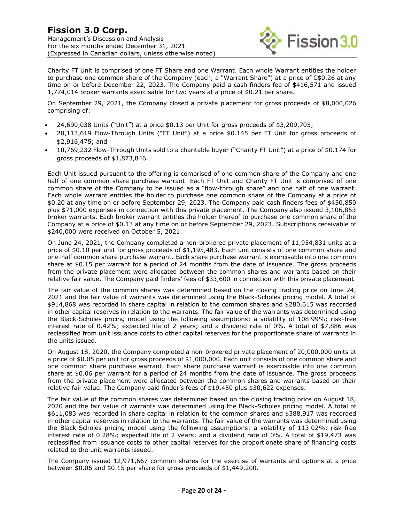

Charity FT Unit is comprised of one FT Share and one Warrant. Each whole Warrant entitles the holder to purchase one common share of the Company (each, a "Warrant Share") at a price of C\$0.26 at any time on or before December 22, 2023. The Company paid a cash finders fee of \$416,571 and issued 1,774,014 broker warrants exercisable for two years at a price of \$0.21 per share.

On September 29, 2021, the Company closed a private placement for gross proceeds of \$8,000,026 comprising of:

- 24,690,038 Units ("Unit") at a price \$0.13 per Unit for gross proceeds of \$3,209,705;
- 20,113,619 Flow-Through Units ("FT Unit") at a price \$0.145 per FT Unit for gross proceeds of \$2,916,475; and
- 10,769,232 Flow-Through Units sold to a charitable buyer ("Charity FT Unit") at a price of \$0.174 for gross proceeds of \$1,873,846.

Each Unit issued pursuant to the offering is comprised of one common share of the Company and one half of one common share purchase warrant. Each FT Unit and Charity FT Unit is comprised of one common share of the Company to be issued as a "flow-through share" and one half of one warrant. Each whole warrant entitles the holder to purchase one common share of the Company at a price of \$0.20 at any time on or before September 29, 2023. The Company paid cash finders fees of \$450,850 plus \$71,000 expenses in connection with this private placement. The Company also issued 3,106,853 broker warrants. Each broker warrant entitles the holder thereof to purchase one common share of the Company at a price of \$0.13 at any time on or before September 29, 2023. Subscriptions receivable of \$240,000 were received on October 5, 2021.

On June 24, 2021, the Company completed a non-brokered private placement of 11,954,831 units at a price of \$0.10 per unit for gross proceeds of \$1,195,483. Each unit consists of one common share and one-half common share purchase warrant. Each share purchase warrant is exercisable into one common share at \$0.15 per warrant for a period of 24 months from the date of issuance. The gross proceeds from the private placement were allocated between the common shares and warrants based on their relative fair value. The Company paid finders' fees of \$33,600 in connection with this private placement.

The fair value of the common shares was determined based on the closing trading price on June 24, 2021 and the fair value of warrants was determined using the Black-Scholes pricing model. A total of \$914,868 was recorded in share capital in relation to the common shares and \$280,615 was recorded in other capital reserves in relation to the warrants. The fair value of the warrants was determined using the Black-Scholes pricing model using the following assumptions: a volatility of 108.99%; risk-free interest rate of 0.42%; expected life of 2 years; and a dividend rate of 0%. A total of \$7,886 was reclassified from unit issuance costs to other capital reserves for the proportionate share of warrants in the units issued.

On August 18, 2020, the Company completed a non-brokered private placement of 20,000,000 units at a price of \$0.05 per unit for gross proceeds of \$1,000,000. Each unit consists of one common share and one common share purchase warrant. Each share purchase warrant is exercisable into one common share at \$0.06 per warrant for a period of 24 months from the date of issuance. The gross proceeds from the private placement were allocated between the common shares and warrants based on their relative fair value. The Company paid finder's fees of \$19,450 plus \$30,622 expenses.

The fair value of the common shares was determined based on the closing trading price on August 18, 2020 and the fair value of warrants was determined using the Black-Scholes pricing model. A total of \$611,083 was recorded in share capital in relation to the common shares and \$388,917 was recorded in other capital reserves in relation to the warrants. The fair value of the warrants was determined using the Black-Scholes pricing model using the following assumptions: a volatility of 113.02%; risk-free interest rate of 0.28%; expected life of 2 years; and a dividend rate of 0%. A total of \$19,473 was reclassified from issuance costs to other capital reserves for the proportionate share of financing costs related to the unit warrants issued.

The Company issued 12,971,667 common shares for the exercise of warrants and options at a price between \$0.06 and \$0.15 per share for gross proceeds of \$1,449,200.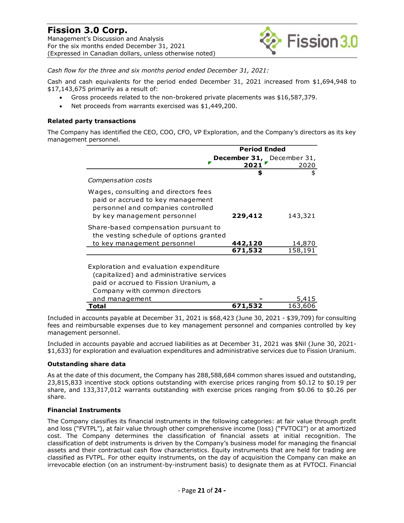

*Cash flow for the three and six months period ended December 31, 2021:*

Cash and cash equivalents for the period ended December 31, 2021 increased from \$1,694,948 to \$17,143,675 primarily as a result of:

- Gross proceeds related to the non-brokered private placements was \$16,587,379.
- Net proceeds from warrants exercised was \$1,449,200.

# **Related party transactions**

The Company has identified the CEO, COO, CFO, VP Exploration, and the Company's directors as its key management personnel.

|                                                                                                                                                                                 | <b>Period Ended</b> |                           |  |
|---------------------------------------------------------------------------------------------------------------------------------------------------------------------------------|---------------------|---------------------------|--|
|                                                                                                                                                                                 |                     | December 31, December 31, |  |
|                                                                                                                                                                                 | 2021                | 2020                      |  |
|                                                                                                                                                                                 | \$                  | \$                        |  |
| Compensation costs                                                                                                                                                              |                     |                           |  |
| Wages, consulting and directors fees<br>paid or accrued to key management<br>personnel and companies controlled<br>by key management personnel                                  | 229,412             | 143,321                   |  |
| Share-based compensation pursuant to<br>the vesting schedule of options granted<br>to key management personnel                                                                  | 442,120             | 14,870                    |  |
|                                                                                                                                                                                 | 671,532             | 158,191                   |  |
| Exploration and evaluation expenditure<br>(capitalized) and administrative services<br>paid or accrued to Fission Uranium, a<br>Company with common directors<br>and management |                     | 5,415                     |  |
| Total                                                                                                                                                                           | 671,532             | 163,606                   |  |

Included in accounts payable at December 31, 2021 is \$68,423 (June 30, 2021 - \$39,709) for consulting fees and reimbursable expenses due to key management personnel and companies controlled by key management personnel.

Included in accounts payable and accrued liabilities as at December 31, 2021 was \$Nil (June 30, 2021- \$1,633) for exploration and evaluation expenditures and administrative services due to Fission Uranium.

#### **Outstanding share data**

As at the date of this document, the Company has 288,588,684 common shares issued and outstanding, 23,815,833 incentive stock options outstanding with exercise prices ranging from \$0.12 to \$0.19 per share, and 133,317,012 warrants outstanding with exercise prices ranging from \$0.06 to \$0.26 per share.

#### **Financial Instruments**

The Company classifies its financial instruments in the following categories: at fair value through profit and loss ("FVTPL"), at fair value through other comprehensive income (loss) ("FVTOCI") or at amortized cost. The Company determines the classification of financial assets at initial recognition. The classification of debt instruments is driven by the Company's business model for managing the financial assets and their contractual cash flow characteristics. Equity instruments that are held for trading are classified as FVTPL. For other equity instruments, on the day of acquisition the Company can make an irrevocable election (on an instrument-by-instrument basis) to designate them as at FVTOCI. Financial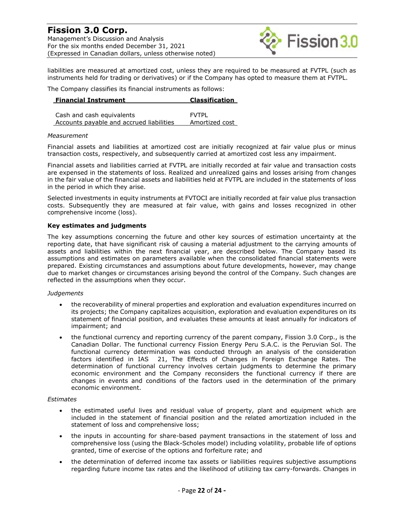

liabilities are measured at amortized cost, unless they are required to be measured at FVTPL (such as instruments held for trading or derivatives) or if the Company has opted to measure them at FVTPL.

The Company classifies its financial instruments as follows:

# **Financial Instrument Classification**

| Cash and cash equivalents                | FVTPI          |
|------------------------------------------|----------------|
| Accounts payable and accrued liabilities | Amortized cost |

#### *Measurement*

Financial assets and liabilities at amortized cost are initially recognized at fair value plus or minus transaction costs, respectively, and subsequently carried at amortized cost less any impairment.

Financial assets and liabilities carried at FVTPL are initially recorded at fair value and transaction costs are expensed in the statements of loss. Realized and unrealized gains and losses arising from changes in the fair value of the financial assets and liabilities held at FVTPL are included in the statements of loss in the period in which they arise.

Selected investments in equity instruments at FVTOCI are initially recorded at fair value plus transaction costs. Subsequently they are measured at fair value, with gains and losses recognized in other comprehensive income (loss).

#### **Key estimates and judgments**

The key assumptions concerning the future and other key sources of estimation uncertainty at the reporting date, that have significant risk of causing a material adjustment to the carrying amounts of assets and liabilities within the next financial year, are described below. The Company based its assumptions and estimates on parameters available when the consolidated financial statements were prepared. Existing circumstances and assumptions about future developments, however, may change due to market changes or circumstances arising beyond the control of the Company. Such changes are reflected in the assumptions when they occur.

#### *Judgements*

- the recoverability of mineral properties and exploration and evaluation expenditures incurred on its projects; the Company capitalizes acquisition, exploration and evaluation expenditures on its statement of financial position, and evaluates these amounts at least annually for indicators of impairment; and
- the functional currency and reporting currency of the parent company, Fission 3.0 Corp., is the Canadian Dollar. The functional currency Fission Energy Peru S.A.C. is the Peruvian Sol. The functional currency determination was conducted through an analysis of the consideration factors identified in IAS 21, The Effects of Changes in Foreign Exchange Rates. The determination of functional currency involves certain judgments to determine the primary economic environment and the Company reconsiders the functional currency if there are changes in events and conditions of the factors used in the determination of the primary economic environment.

#### *Estimates*

- the estimated useful lives and residual value of property, plant and equipment which are included in the statement of financial position and the related amortization included in the statement of loss and comprehensive loss;
- the inputs in accounting for share-based payment transactions in the statement of loss and comprehensive loss (using the Black-Scholes model) including volatility, probable life of options granted, time of exercise of the options and forfeiture rate; and
- the determination of deferred income tax assets or liabilities requires subjective assumptions regarding future income tax rates and the likelihood of utilizing tax carry-forwards. Changes in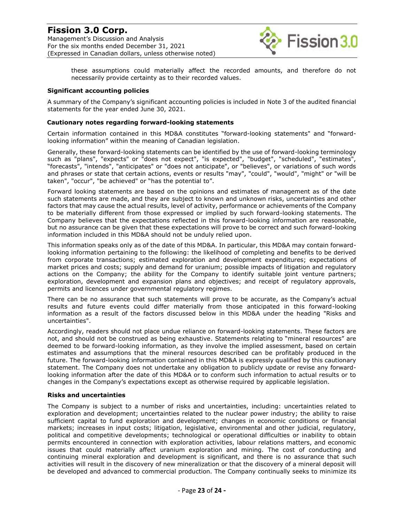

these assumptions could materially affect the recorded amounts, and therefore do not necessarily provide certainty as to their recorded values.

# **Significant accounting policies**

A summary of the Company's significant accounting policies is included in Note 3 of the audited financial statements for the year ended June 30, 2021.

#### **Cautionary notes regarding forward-looking statements**

Certain information contained in this MD&A constitutes "forward-looking statements" and "forwardlooking information" within the meaning of Canadian legislation.

Generally, these forward-looking statements can be identified by the use of forward-looking terminology such as "plans", "expects" or "does not expect", "is expected", "budget", "scheduled", "estimates", "forecasts", "intends", "anticipates" or "does not anticipate", or "believes", or variations of such words and phrases or state that certain actions, events or results "may", "could", "would", "might" or "will be taken", "occur", "be achieved" or "has the potential to".

Forward looking statements are based on the opinions and estimates of management as of the date such statements are made, and they are subject to known and unknown risks, uncertainties and other factors that may cause the actual results, level of activity, performance or achievements of the Company to be materially different from those expressed or implied by such forward-looking statements. The Company believes that the expectations reflected in this forward-looking information are reasonable, but no assurance can be given that these expectations will prove to be correct and such forward-looking information included in this MD&A should not be unduly relied upon.

This information speaks only as of the date of this MD&A. In particular, this MD&A may contain forwardlooking information pertaining to the following: the likelihood of completing and benefits to be derived from corporate transactions; estimated exploration and development expenditures; expectations of market prices and costs; supply and demand for uranium; possible impacts of litigation and regulatory actions on the Company; the ability for the Company to identify suitable joint venture partners; exploration, development and expansion plans and objectives; and receipt of regulatory approvals, permits and licences under governmental regulatory regimes.

There can be no assurance that such statements will prove to be accurate, as the Company's actual results and future events could differ materially from those anticipated in this forward-looking information as a result of the factors discussed below in this MD&A under the heading "Risks and uncertainties".

Accordingly, readers should not place undue reliance on forward-looking statements. These factors are not, and should not be construed as being exhaustive. Statements relating to "mineral resources" are deemed to be forward-looking information, as they involve the implied assessment, based on certain estimates and assumptions that the mineral resources described can be profitably produced in the future. The forward-looking information contained in this MD&A is expressly qualified by this cautionary statement. The Company does not undertake any obligation to publicly update or revise any forwardlooking information after the date of this MD&A or to conform such information to actual results or to changes in the Company's expectations except as otherwise required by applicable legislation.

#### **Risks and uncertainties**

The Company is subject to a number of risks and uncertainties, including: uncertainties related to exploration and development; uncertainties related to the nuclear power industry; the ability to raise sufficient capital to fund exploration and development; changes in economic conditions or financial markets; increases in input costs; litigation, legislative, environmental and other judicial, regulatory, political and competitive developments; technological or operational difficulties or inability to obtain permits encountered in connection with exploration activities, labour relations matters, and economic issues that could materially affect uranium exploration and mining. The cost of conducting and continuing mineral exploration and development is significant, and there is no assurance that such activities will result in the discovery of new mineralization or that the discovery of a mineral deposit will be developed and advanced to commercial production. The Company continually seeks to minimize its